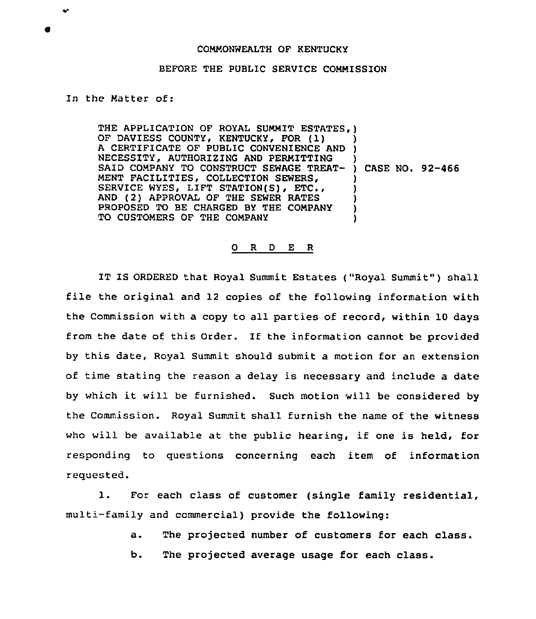## COMMONWEALTH OF KENTUCKY

## BEFORE THE PUBLIC SERVICE COMMISSION

## In the Matter of:

THE APPLICATION OF ROYAL SUMMIT ESTATES, ) OF DAVIESS COUNTY, KENTUCKY, FOR (1) OF DAVIESS COONTY, KENTOCKY, FOR (1)<br>A CERTIFICATE OF PUBLIC CONVENIENCE AND ) NECESSITY, AUTHORIZING AND PERMITTING NECESSITY, AUTHORIZING AND PERMITTING<br>SAID COMPANY TO CONSTRUCT SEWAGE TREAT- ) CASE NO. 92-466 MENT FACILITIES, COLLECTION SEWERS, SERVICE WYES, LIFT STATION(S), ETC., AND (2) APPROVAL OF THE SEWER RATES PROPOSED TO BE CHARGED BY THE COMPANY TO CUSTOMERS OF THE COMPANY ) ) ) ) ) )

## 0 R <sup>D</sup> E R

IT IS ORDERED that Royal Summit Estates ("Royal Summit" ) shall file the original and <sup>12</sup> copies of the following information with the Commission with a copy to all parties of record, within 10 days from the date of this Order. If the information cannot be provided by this date, Royal Summit should submit a motion for an extension of time stating the reason a delay is necessary and include a date by which it will be furnished. Such motion will be considered by the Commission. Royal Summit shall furnish the name of the witness who will be available at the public hearing, if one is held, for responding to questions concerning each item of information requested.

1. For each class of customer (single family residential, multi-family and commercial) provide the following:

a. The projected number of customers for each class.

b. The projected average usage for each class.